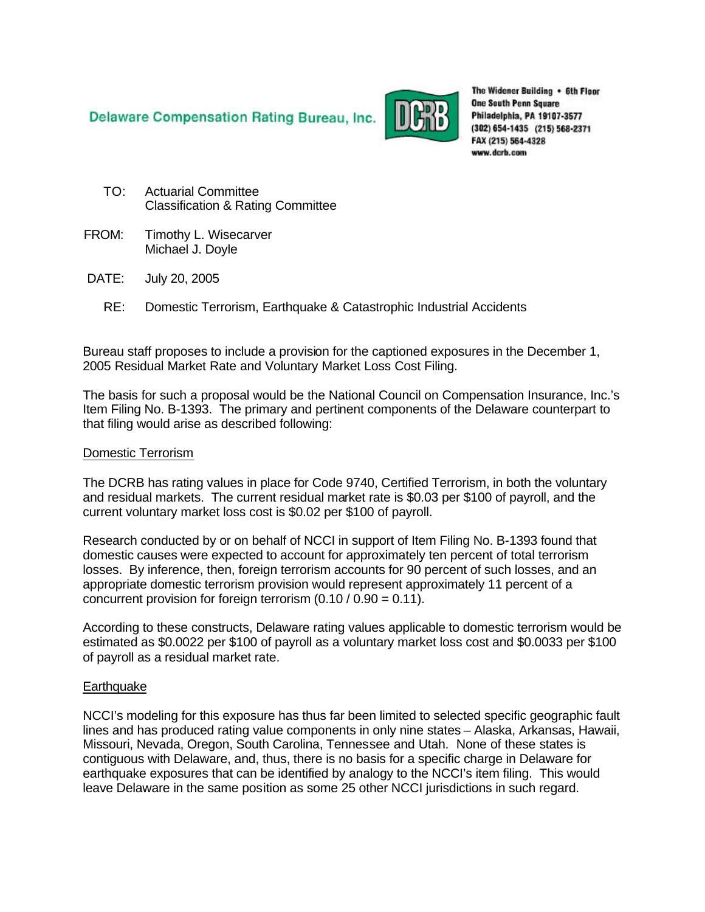**Delaware Compensation Rating Bureau, Inc.** 



The Widener Building . 6th Floor **One South Penn Square** Philadelphia, PA 19107-3577 (302) 654-1435 (215) 568-2371 FAX (215) 564-4328 www.dcrb.com

- TO: Actuarial Committee Classification & Rating Committee
- FROM: Timothy L. Wisecarver Michael J. Doyle
- DATE: July 20, 2005
	- RE: Domestic Terrorism, Earthquake & Catastrophic Industrial Accidents

Bureau staff proposes to include a provision for the captioned exposures in the December 1, 2005 Residual Market Rate and Voluntary Market Loss Cost Filing.

The basis for such a proposal would be the National Council on Compensation Insurance, Inc.'s Item Filing No. B-1393. The primary and pertinent components of the Delaware counterpart to that filing would arise as described following:

#### Domestic Terrorism

The DCRB has rating values in place for Code 9740, Certified Terrorism, in both the voluntary and residual markets. The current residual market rate is \$0.03 per \$100 of payroll, and the current voluntary market loss cost is \$0.02 per \$100 of payroll.

Research conducted by or on behalf of NCCI in support of Item Filing No. B-1393 found that domestic causes were expected to account for approximately ten percent of total terrorism losses. By inference, then, foreign terrorism accounts for 90 percent of such losses, and an appropriate domestic terrorism provision would represent approximately 11 percent of a concurrent provision for foreign terrorism (0.10 / 0.90 = 0.11).

According to these constructs, Delaware rating values applicable to domestic terrorism would be estimated as \$0.0022 per \$100 of payroll as a voluntary market loss cost and \$0.0033 per \$100 of payroll as a residual market rate.

#### **Earthquake**

NCCI's modeling for this exposure has thus far been limited to selected specific geographic fault lines and has produced rating value components in only nine states – Alaska, Arkansas, Hawaii, Missouri, Nevada, Oregon, South Carolina, Tennessee and Utah. None of these states is contiguous with Delaware, and, thus, there is no basis for a specific charge in Delaware for earthquake exposures that can be identified by analogy to the NCCI's item filing. This would leave Delaware in the same position as some 25 other NCCI jurisdictions in such regard.